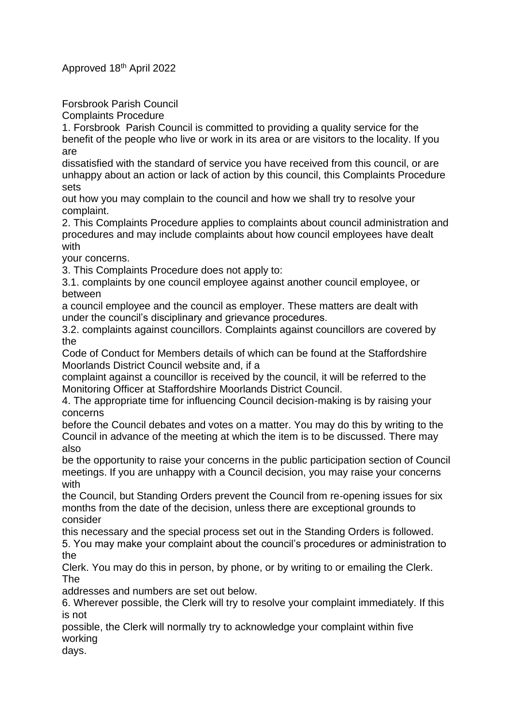Approved 18th April 2022

Forsbrook Parish Council

Complaints Procedure

1. Forsbrook Parish Council is committed to providing a quality service for the benefit of the people who live or work in its area or are visitors to the locality. If you are

dissatisfied with the standard of service you have received from this council, or are unhappy about an action or lack of action by this council, this Complaints Procedure sets

out how you may complain to the council and how we shall try to resolve your complaint.

2. This Complaints Procedure applies to complaints about council administration and procedures and may include complaints about how council employees have dealt with

your concerns.

3. This Complaints Procedure does not apply to:

3.1. complaints by one council employee against another council employee, or between

a council employee and the council as employer. These matters are dealt with under the council's disciplinary and grievance procedures.

3.2. complaints against councillors. Complaints against councillors are covered by the

Code of Conduct for Members details of which can be found at the Staffordshire Moorlands District Council website and, if a

complaint against a councillor is received by the council, it will be referred to the Monitoring Officer at Staffordshire Moorlands District Council.

4. The appropriate time for influencing Council decision-making is by raising your concerns

before the Council debates and votes on a matter. You may do this by writing to the Council in advance of the meeting at which the item is to be discussed. There may also

be the opportunity to raise your concerns in the public participation section of Council meetings. If you are unhappy with a Council decision, you may raise your concerns with

the Council, but Standing Orders prevent the Council from re-opening issues for six months from the date of the decision, unless there are exceptional grounds to consider

this necessary and the special process set out in the Standing Orders is followed. 5. You may make your complaint about the council's procedures or administration to the

Clerk. You may do this in person, by phone, or by writing to or emailing the Clerk. The

addresses and numbers are set out below.

6. Wherever possible, the Clerk will try to resolve your complaint immediately. If this is not

possible, the Clerk will normally try to acknowledge your complaint within five working

days.